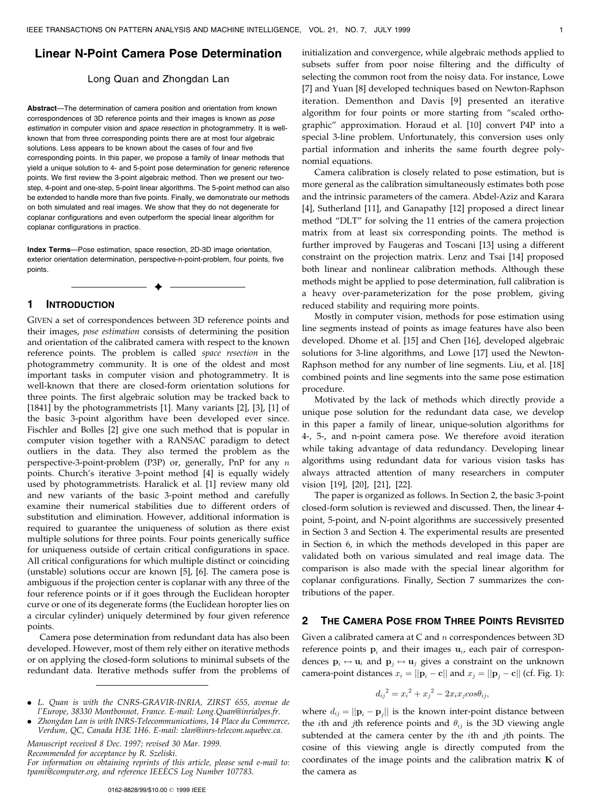### Linear N-Point Camera Pose Determination

#### Long Quan and Zhongdan Lan

Abstract—The determination of camera position and orientation from known correspondences of 3D reference points and their images is known as pose estimation in computer vision and space resection in photogrammetry. It is wellknown that from three corresponding points there are at most four algebraic solutions. Less appears to be known about the cases of four and five corresponding points. In this paper, we propose a family of linear methods that yield a unique solution to 4- and 5-point pose determination for generic reference points. We first review the 3-point algebraic method. Then we present our twostep, 4-point and one-step, 5-point linear algorithms. The 5-point method can also be extended to handle more than five points. Finally, we demonstrate our methods on both simulated and real images. We show that they do not degenerate for coplanar configurations and even outperform the special linear algorithm for coplanar configurations in practice.

Index Terms-Pose estimation, space resection, 2D-3D image orientation, exterior orientation determination, perspective-n-point-problem, four points, five points.

æ

### 1 INTRODUCTION

GIVEN a set of correspondences between 3D reference points and their images, pose estimation consists of determining the position and orientation of the calibrated camera with respect to the known reference points. The problem is called space resection in the photogrammetry community. It is one of the oldest and most important tasks in computer vision and photogrammetry. It is well-known that there are closed-form orientation solutions for three points. The first algebraic solution may be tracked back to [1841] by the photogrammetrists [1]. Many variants [2], [3], [1] of the basic 3-point algorithm have been developed ever since. Fischler and Bolles [2] give one such method that is popular in computer vision together with a RANSAC paradigm to detect outliers in the data. They also termed the problem as the perspective-3-point-problem (P3P) or, generally, PnP for any n points. Church's iterative 3-point method [4] is equally widely used by photogrammetrists. Haralick et al. [1] review many old and new variants of the basic 3-point method and carefully examine their numerical stabilities due to different orders of substitution and elimination. However, additional information is required to guarantee the uniqueness of solution as there exist multiple solutions for three points. Four points generically suffice for uniqueness outside of certain critical configurations in space. All critical configurations for which multiple distinct or coinciding (unstable) solutions occur are known [5], [6]. The camera pose is ambiguous if the projection center is coplanar with any three of the four reference points or if it goes through the Euclidean horopter curve or one of its degenerate forms (the Euclidean horopter lies on a circular cylinder) uniquely determined by four given reference points.

Camera pose determination from redundant data has also been developed. However, most of them rely either on iterative methods or on applying the closed-form solutions to minimal subsets of the redundant data. Iterative methods suffer from the problems of

. L. Quan is with the CNRS-GRAVIR-INRIA, ZIRST 655, avenue de l'Europe, 38330 Montbonnot, France. E-mail: Long.Quan@inrialpes.fr.

. Zhongdan Lan is with INRS-Telecommunications, 14 Place du Commerce, Verdum, QC, Canada H3E 1H6. E-mail: zlan@inrs-telecom.uquebec.ca.

Manuscript received 8 Dec. 1997; revised 30 Mar. 1999.

Recommended for acceptance by R. Szeliski.

For information on obtaining reprints of this article, please send e-mail to: tpami@computer.org, and reference IEEECS Log Number 107783.

initialization and convergence, while algebraic methods applied to subsets suffer from poor noise filtering and the difficulty of selecting the common root from the noisy data. For instance, Lowe [7] and Yuan [8] developed techniques based on Newton-Raphson iteration. Dementhon and Davis [9] presented an iterative algorithm for four points or more starting from "scaled orthographicº approximation. Horaud et al. [10] convert P4P into a special 3-line problem. Unfortunately, this conversion uses only partial information and inherits the same fourth degree polynomial equations.

Camera calibration is closely related to pose estimation, but is more general as the calibration simultaneously estimates both pose and the intrinsic parameters of the camera. Abdel-Aziz and Karara [4], Sutherland [11], and Ganapathy [12] proposed a direct linear method "DLT" for solving the 11 entries of the camera projection matrix from at least six corresponding points. The method is further improved by Faugeras and Toscani [13] using a different constraint on the projection matrix. Lenz and Tsai [14] proposed both linear and nonlinear calibration methods. Although these methods might be applied to pose determination, full calibration is a heavy over-parameterization for the pose problem, giving reduced stability and requiring more points.

Mostly in computer vision, methods for pose estimation using line segments instead of points as image features have also been developed. Dhome et al. [15] and Chen [16], developed algebraic solutions for 3-line algorithms, and Lowe [17] used the Newton-Raphson method for any number of line segments. Liu, et al. [18] combined points and line segments into the same pose estimation procedure.

Motivated by the lack of methods which directly provide a unique pose solution for the redundant data case, we develop in this paper a family of linear, unique-solution algorithms for 4-, 5-, and n-point camera pose. We therefore avoid iteration while taking advantage of data redundancy. Developing linear algorithms using redundant data for various vision tasks has always attracted attention of many researchers in computer vision [19], [20], [21], [22].

The paper is organized as follows. In Section 2, the basic 3-point closed-form solution is reviewed and discussed. Then, the linear 4 point, 5-point, and N-point algorithms are successively presented in Section 3 and Section 4. The experimental results are presented in Section 6, in which the methods developed in this paper are validated both on various simulated and real image data. The comparison is also made with the special linear algorithm for coplanar configurations. Finally, Section 7 summarizes the contributions of the paper.

# 2 THE CAMERA POSE FROM THREE POINTS REVISITED

Given a calibrated camera at C and  $n$  correspondences between 3D reference points  $\mathbf{p}_i$  and their images  $\mathbf{u}_i$ , each pair of correspondences  $\mathbf{p}_i \leftrightarrow \mathbf{u}_i$  and  $\mathbf{p}_j \leftrightarrow \mathbf{u}_j$  gives a constraint on the unknown camera-point distances  $x_i = ||\mathbf{p}_i - \mathbf{c}||$  and  $x_j = ||\mathbf{p}_j - \mathbf{c}||$  (cf. Fig. 1):

$$
d_{ij}^{2} = x_{i}^{2} + x_{j}^{2} - 2x_{i}x_{j}cos\theta_{ij},
$$

where  $d_{ij} = ||\mathbf{p}_i - \mathbf{p}_j||$  is the known inter-point distance between the *i*th and *j*th reference points and  $\theta_{ij}$  is the 3D viewing angle subtended at the camera center by the *i*th and *j*th points. The cosine of this viewing angle is directly computed from the coordinates of the image points and the calibration matrix K of the camera as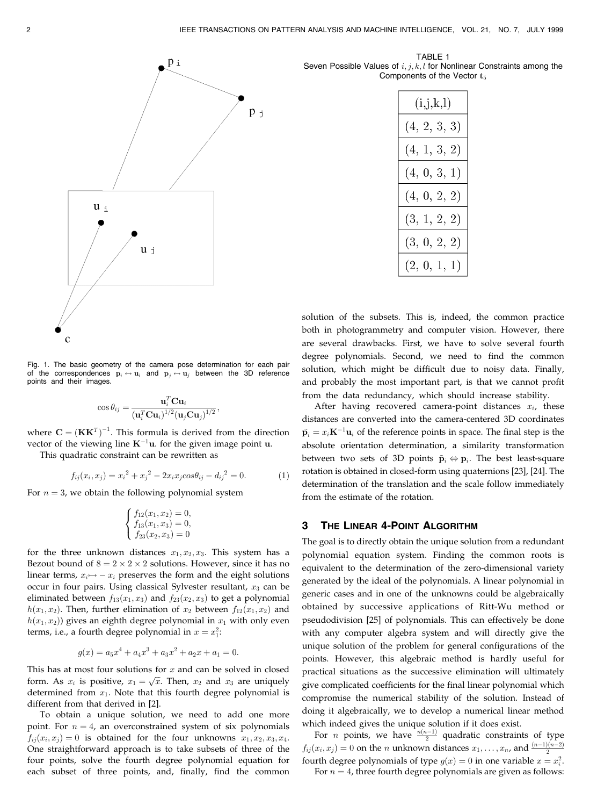

 $\mathsf{p}_1$ 

Fig. 1. The basic geometry of the camera pose determination for each pair of the correspondences  $\mathbf{p}_i \leftrightarrow \mathbf{u}_i$  and  $\mathbf{p}_j \leftrightarrow \mathbf{u}_j$  between the 3D reference points and their images.

$$
\cos \theta_{ij} = \frac{\mathbf{u}_i^T \mathbf{C} \mathbf{u}_i}{\left(\mathbf{u}_i^T \mathbf{C} \mathbf{u}_i\right)^{1/2} \left(\mathbf{u}_j \mathbf{C} \mathbf{u}_j\right)^{1/2}},
$$

where  $\mathbf{C} = (\mathbf{K}\mathbf{K}^T)^{-1}$ . This formula is derived from the direction vector of the viewing line  $K^{-1}u$ . for the given image point u.

This quadratic constraint can be rewritten as

$$
f_{ij}(x_i, x_j) = x_i^2 + x_j^2 - 2x_i x_j \cos \theta_{ij} - d_{ij}^2 = 0.
$$
 (1)

For  $n = 3$ , we obtain the following polynomial system

$$
\begin{cases}\nf_{12}(x_1, x_2) = 0, \\
f_{13}(x_1, x_3) = 0, \\
f_{23}(x_2, x_3) = 0\n\end{cases}
$$

for the three unknown distances  $x_1, x_2, x_3$ . This system has a Bezout bound of  $8 = 2 \times 2 \times 2$  solutions. However, since it has no linear terms,  $x_i \mapsto -x_i$  preserves the form and the eight solutions occur in four pairs. Using classical Sylvester resultant,  $x_3$  can be eliminated between  $f_{13}(x_1, x_3)$  and  $f_{23}(x_2, x_3)$  to get a polynomial  $h(x_1, x_2)$ . Then, further elimination of  $x_2$  between  $f_{12}(x_1, x_2)$  and  $h(x_1, x_2)$ ) gives an eighth degree polynomial in  $x_1$  with only even terms, i.e., a fourth degree polynomial in  $x = x_1^2$ :

$$
g(x) = a_5x^4 + a_4x^3 + a_3x^2 + a_2x + a_1 = 0.
$$

This has at most four solutions for  $x$  and can be solved in closed form. As  $x_i$  is positive,  $x_1 = \sqrt{x}$ . Then,  $x_2$  and  $x_3$  are uniquely determined from  $x_1$ . Note that this fourth degree polynomial is different from that derived in [2].

To obtain a unique solution, we need to add one more point. For  $n = 4$ , an overconstrained system of six polynomials  $f_{ij}(x_i, x_j) = 0$  is obtained for the four unknowns  $x_1, x_2, x_3, x_4$ . One straightforward approach is to take subsets of three of the four points, solve the fourth degree polynomial equation for each subset of three points, and, finally, find the common

TABLE 1 Seven Possible Values of  $i, j, k, l$  for Nonlinear Constraints among the Components of the Vector  $t_5$ 

| (i,j,k,l)    |  |  |  |  |  |  |  |  |  |
|--------------|--|--|--|--|--|--|--|--|--|
| (4, 2, 3, 3) |  |  |  |  |  |  |  |  |  |
| (4, 1, 3, 2) |  |  |  |  |  |  |  |  |  |
| (4, 0, 3, 1) |  |  |  |  |  |  |  |  |  |
| (4, 0, 2, 2) |  |  |  |  |  |  |  |  |  |
| (3, 1, 2, 2) |  |  |  |  |  |  |  |  |  |
| (3, 0, 2, 2) |  |  |  |  |  |  |  |  |  |
| (2, 0, 1, 1) |  |  |  |  |  |  |  |  |  |

solution of the subsets. This is, indeed, the common practice both in photogrammetry and computer vision. However, there are several drawbacks. First, we have to solve several fourth degree polynomials. Second, we need to find the common solution, which might be difficult due to noisy data. Finally, and probably the most important part, is that we cannot profit from the data redundancy, which should increase stability.

After having recovered camera-point distances  $x_i$ , these distances are converted into the camera-centered 3D coordinates  $\tilde{\mathbf{p}}_i = x_i \mathbf{K}^{-1} \mathbf{u}_i$  of the reference points in space. The final step is the absolute orientation determination, a similarity transformation between two sets of 3D points  $\tilde{\mathbf{p}}_i \Leftrightarrow \mathbf{p}_i$ . The best least-square rotation is obtained in closed-form using quaternions [23], [24]. The determination of the translation and the scale follow immediately from the estimate of the rotation.

## 3 THE LINEAR 4-POINT ALGORITHM

The goal is to directly obtain the unique solution from a redundant polynomial equation system. Finding the common roots is equivalent to the determination of the zero-dimensional variety generated by the ideal of the polynomials. A linear polynomial in generic cases and in one of the unknowns could be algebraically obtained by successive applications of Ritt-Wu method or pseudodivision [25] of polynomials. This can effectively be done with any computer algebra system and will directly give the unique solution of the problem for general configurations of the points. However, this algebraic method is hardly useful for practical situations as the successive elimination will ultimately give complicated coefficients for the final linear polynomial which compromise the numerical stability of the solution. Instead of doing it algebraically, we to develop a numerical linear method which indeed gives the unique solution if it does exist.

For *n* points, we have  $\frac{n(n-1)}{2}$  quadratic constraints of type  $f_{ij}(x_i, x_j) = 0$  on the *n* unknown distances  $x_1, \ldots, x_n$ , and  $\frac{(n-1)(n-2)}{2}$ fourth degree polynomials of type  $g(x) = 0$  in one variable  $x = x_i^2$ .

For  $n = 4$ , three fourth degree polynomials are given as follows: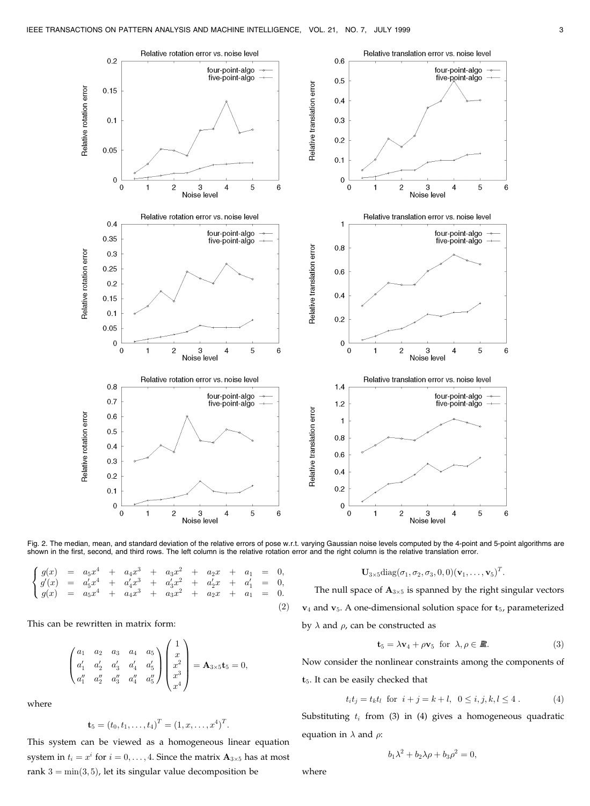

Fig. 2. The median, mean, and standard deviation of the relative errors of pose w.r.t. varying Gaussian noise levels computed by the 4-point and 5-point algorithms are shown in the first, second, and third rows. The left column is the relative rotation error and the right column is the relative translation error.

 $(2)$ 

$$
\begin{cases}\ng(x) = a_5x^4 + a_4x^3 + a_3x^2 + a_2x + a_1 = 0, \\
g'(x) = a'_5x^4 + a'_4x^3 + a'_3x^2 + a'_2x + a'_1 = 0, \\
g(x) = a_5x^4 + a_4x^3 + a_3x^2 + a_2x + a_1 = 0.\n\end{cases}
$$

This can be rewritten in matrix form:

$$
\begin{pmatrix} a_1 & a_2 & a_3 & a_4 & a_5 \ a'_1 & a'_2 & a'_3 & a'_4 & a'_5 \ a''_1 & a''_2 & a''_3 & a''_4 & a''_5 \end{pmatrix} \begin{pmatrix} 1 \\ x \\ x^2 \\ x^3 \\ x^4 \end{pmatrix} = \mathbf{A}_{3 \times 5} \mathbf{t}_5 = 0,
$$

where

$$
\mathbf{t}_5 = (t_0, t_1, \dots, t_4)^T = (1, x, \dots, x^4)^T.
$$

This system can be viewed as a homogeneous linear equation system in  $t_i = x^i$  for  $i = 0, ..., 4$ . Since the matrix  $\mathbf{A}_{3\times 5}$  has at most rank  $3 = min(3, 5)$ , let its singular value decomposition be

$$
\mathbf{U}_{3\times 5} \text{diag}(\sigma_1,\sigma_2,\sigma_3,0,0)(\mathbf{v}_1,\ldots,\mathbf{v}_5)^T.
$$

The null space of  $\mathbf{A}_{3\times 5}$  is spanned by the right singular vectors  $v_4$  and  $v_5$ . A one-dimensional solution space for  $t_5$ , parameterized by  $\lambda$  and  $\rho$ , can be constructed as

$$
\mathbf{t}_5 = \lambda \mathbf{v}_4 + \rho \mathbf{v}_5 \text{ for } \lambda, \rho \in \mathbb{R}.\tag{3}
$$

Now consider the nonlinear constraints among the components of  $t_5$ . It can be easily checked that

$$
t_i t_j = t_k t_l
$$
 for  $i + j = k + l$ ,  $0 \le i, j, k, l \le 4$ . (4)

Substituting  $t_i$  from (3) in (4) gives a homogeneous quadratic equation in  $\lambda$  and  $\rho$ :

$$
b_1\lambda^2 + b_2\lambda\rho + b_3\rho^2 = 0,
$$

where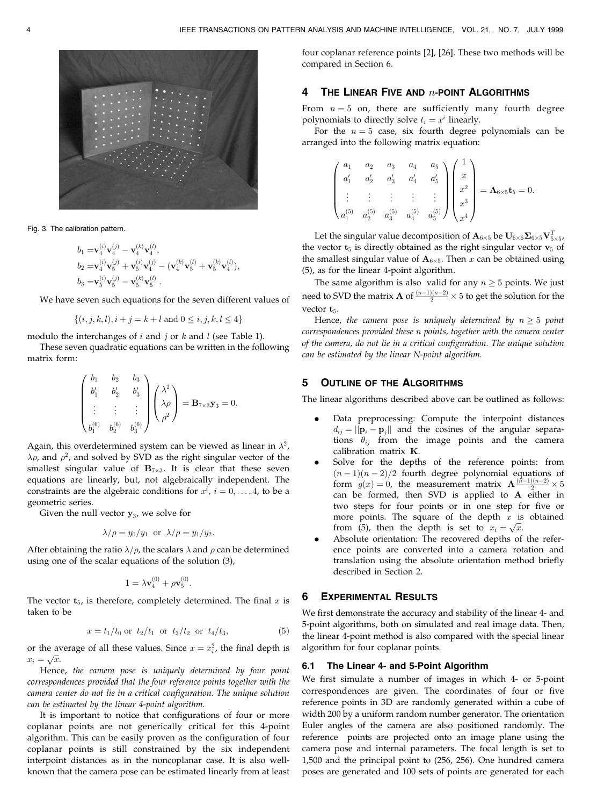

Fig. 3. The calibration pattern.

$$
b_1 = \mathbf{v}_4^{(i)} \mathbf{v}_4^{(j)} - \mathbf{v}_4^{(k)} \mathbf{v}_4^{(l)},
$$
  
\n
$$
b_2 = \mathbf{v}_4^{(i)} \mathbf{v}_5^{(j)} + \mathbf{v}_5^{(i)} \mathbf{v}_4^{(j)} - (\mathbf{v}_4^{(k)} \mathbf{v}_5^{(l)} + \mathbf{v}_5^{(k)} \mathbf{v}_4^{(l)}),
$$
  
\n
$$
b_3 = \mathbf{v}_5^{(i)} \mathbf{v}_5^{(j)} - \mathbf{v}_5^{(k)} \mathbf{v}_5^{(l)}.
$$

We have seven such equations for the seven different values of

$$
\{(i, j, k, l), i + j = k + l \text{ and } 0 \le i, j, k, l \le 4\}
$$

modulo the interchanges of  $i$  and  $j$  or  $k$  and  $l$  (see Table 1).

These seven quadratic equations can be written in the following matrix form:

$$
\begin{pmatrix} b_1 & b_2 & b_3 \ b'_1 & b'_2 & b'_3 \ \vdots & \vdots & \vdots \ b_1^{(6)} & b_2^{(6)} & b_3^{(6)} \end{pmatrix} \begin{pmatrix} \lambda^2 \\ \lambda \rho \\ \rho^2 \end{pmatrix} = \mathbf{B}_{7 \times 3} \mathbf{y}_3 = 0.
$$

Again, this overdetermined system can be viewed as linear in  $\lambda^2$ ,  $\lambda \rho$ , and  $\rho^2$ , and solved by SVD as the right singular vector of the smallest singular value of  $B_{7\times 3}$ . It is clear that these seven equations are linearly, but, not algebraically independent. The constraints are the algebraic conditions for  $x^i$ ,  $i = 0, \ldots, 4$ , to be a geometric series.

Given the null vector  $y_3$ , we solve for

$$
\lambda/\rho = y_0/y_1
$$
 or  $\lambda/\rho = y_1/y_2$ .

After obtaining the ratio  $\lambda/\rho$ , the scalars  $\lambda$  and  $\rho$  can be determined using one of the scalar equations of the solution (3),

$$
1 = \lambda \mathbf{v}_4^{(0)} + \rho \mathbf{v}_5^{(0)}.
$$

The vector  $t_{5}$ , is therefore, completely determined. The final x is taken to be

$$
x = t_1/t_0 \text{ or } t_2/t_1 \text{ or } t_3/t_2 \text{ or } t_4/t_3,
$$
 (5)

or the average of all these values. Since  $x = x_i^2$ , the final depth is  $x_i = \sqrt{x}.$ 

Hence, the camera pose is uniquely determined by four point correspondences provided that the four reference points together with the camera center do not lie in a critical configuration. The unique solution can be estimated by the linear 4-point algorithm.

It is important to notice that configurations of four or more coplanar points are not generically critical for this 4-point algorithm. This can be easily proven as the configuration of four coplanar points is still constrained by the six independent interpoint distances as in the noncoplanar case. It is also wellknown that the camera pose can be estimated linearly from at least

four coplanar reference points [2], [26]. These two methods will be compared in Section 6.

# 4 THE LINEAR FIVE AND  $n$ -point Algorithms

From  $n = 5$  on, there are sufficiently many fourth degree polynomials to directly solve  $t_i = x^i$  linearly.

For the  $n = 5$  case, six fourth degree polynomials can be arranged into the following matrix equation:

$$
\begin{pmatrix} a_1 & a_2 & a_3 & a_4 & a_5 \ a'_1 & a'_2 & a'_3 & a'_4 & a'_5 \ \vdots & \vdots & \vdots & \vdots & \vdots \ a_1^{(5)} & a_2^{(5)} & a_3^{(5)} & a_4^{(5)} & a_5^{(5)} \end{pmatrix} \begin{pmatrix} 1 \ x \ x^2 \ x^3 \ x^4 \end{pmatrix} = \mathbf{A}_{6 \times 5} \mathbf{t}_5 = 0.
$$

Let the singular value decomposition of  $\mathbf{A}_{6\times 5}$  be  $\mathbf{U}_{6\times 6}\mathbf{\Sigma}_{6\times 5}\mathbf{V}_{5\times 5}^T$ the vector  $t_5$  is directly obtained as the right singular vector  $v_5$  of the smallest singular value of  $A_{6\times 5}$ . Then x can be obtained using (5), as for the linear 4-point algorithm.

The same algorithm is also valid for any  $n \geq 5$  points. We just need to SVD the matrix **A** of  $\frac{(n-1)(n-2)}{2} \times 5$  to get the solution for the vector  $t_5$ .

Hence, the camera pose is uniquely determined by  $n \geq 5$  point correspondences provided these n points, together with the camera center of the camera, do not lie in a critical configuration. The unique solution can be estimated by the linear N-point algorithm.

### 5 OUTLINE OF THE ALGORITHMS

The linear algorithms described above can be outlined as follows:

- . Data preprocessing: Compute the interpoint distances  $d_{ij} = ||\mathbf{p}_i - \mathbf{p}_j||$  and the cosines of the angular separations  $\theta_{ij}$  from the image points and the camera calibration matrix K.
- . Solve for the depths of the reference points: from  $(n - 1)(n - 2)/2$  fourth degree polynomial equations of form  $g(x) = 0$ , the measurement matrix  $\mathbf{A} \frac{(\bar{n}-1)(n-2)}{2} \times 5$ can be formed, then SVD is applied to A either in two steps for four points or in one step for five or more points. The square of the depth  $x$  is obtained from (5), then the depth is set to  $x_i = \sqrt{x}$ .
- . Absolute orientation: The recovered depths of the reference points are converted into a camera rotation and translation using the absolute orientation method briefly described in Section 2.

### 6 EXPERIMENTAL RESULTS

We first demonstrate the accuracy and stability of the linear 4- and 5-point algorithms, both on simulated and real image data. Then, the linear 4-point method is also compared with the special linear algorithm for four coplanar points.

#### 6.1 The Linear 4- and 5-Point Algorithm

We first simulate a number of images in which 4- or 5-point correspondences are given. The coordinates of four or five reference points in 3D are randomly generated within a cube of width 200 by a uniform random number generator. The orientation Euler angles of the camera are also positioned randomly. The reference points are projected onto an image plane using the camera pose and internal parameters. The focal length is set to 1,500 and the principal point to (256, 256). One hundred camera poses are generated and 100 sets of points are generated for each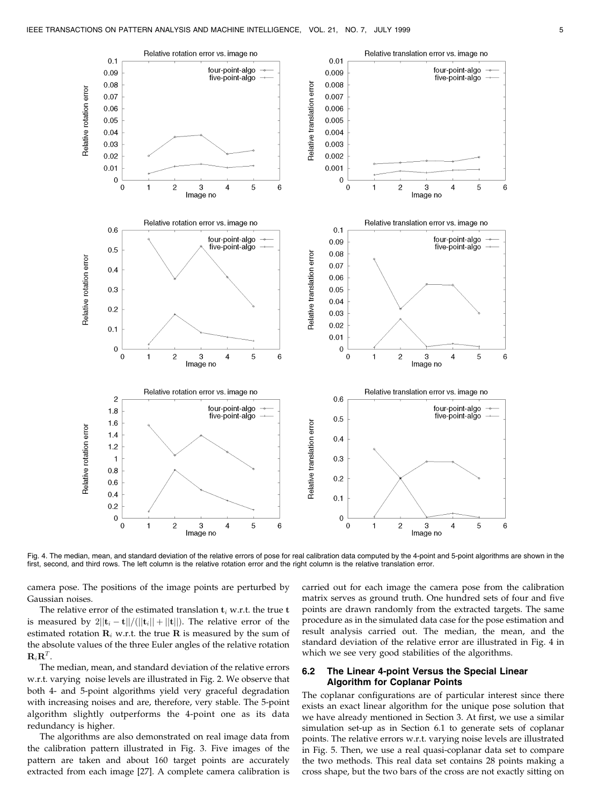

Fig. 4. The median, mean, and standard deviation of the relative errors of pose for real calibration data computed by the 4-point and 5-point algorithms are shown in the first, second, and third rows. The left column is the relative rotation error and the right column is the relative translation error.

camera pose. The positions of the image points are perturbed by Gaussian noises.

The relative error of the estimated translation  $t_i$  w.r.t. the true  $t$ is measured by  $2||\mathbf{t}_i - \mathbf{t}||/(||\mathbf{t}_i|| + ||\mathbf{t}||)$ . The relative error of the estimated rotation  $\mathbf{R}_i$  w.r.t. the true  $\mathbf{R}$  is measured by the sum of the absolute values of the three Euler angles of the relative rotation  $\mathbf{R}_i \mathbf{R}^T$ .

The median, mean, and standard deviation of the relative errors w.r.t. varying noise levels are illustrated in Fig. 2. We observe that both 4- and 5-point algorithms yield very graceful degradation with increasing noises and are, therefore, very stable. The 5-point algorithm slightly outperforms the 4-point one as its data redundancy is higher.

The algorithms are also demonstrated on real image data from the calibration pattern illustrated in Fig. 3. Five images of the pattern are taken and about 160 target points are accurately extracted from each image [27]. A complete camera calibration is

carried out for each image the camera pose from the calibration matrix serves as ground truth. One hundred sets of four and five points are drawn randomly from the extracted targets. The same procedure as in the simulated data case for the pose estimation and result analysis carried out. The median, the mean, and the standard deviation of the relative error are illustrated in Fig. 4 in which we see very good stabilities of the algorithms.

### 6.2 The Linear 4-point Versus the Special Linear Algorithm for Coplanar Points

The coplanar configurations are of particular interest since there exists an exact linear algorithm for the unique pose solution that we have already mentioned in Section 3. At first, we use a similar simulation set-up as in Section 6.1 to generate sets of coplanar points. The relative errors w.r.t. varying noise levels are illustrated in Fig. 5. Then, we use a real quasi-coplanar data set to compare the two methods. This real data set contains 28 points making a cross shape, but the two bars of the cross are not exactly sitting on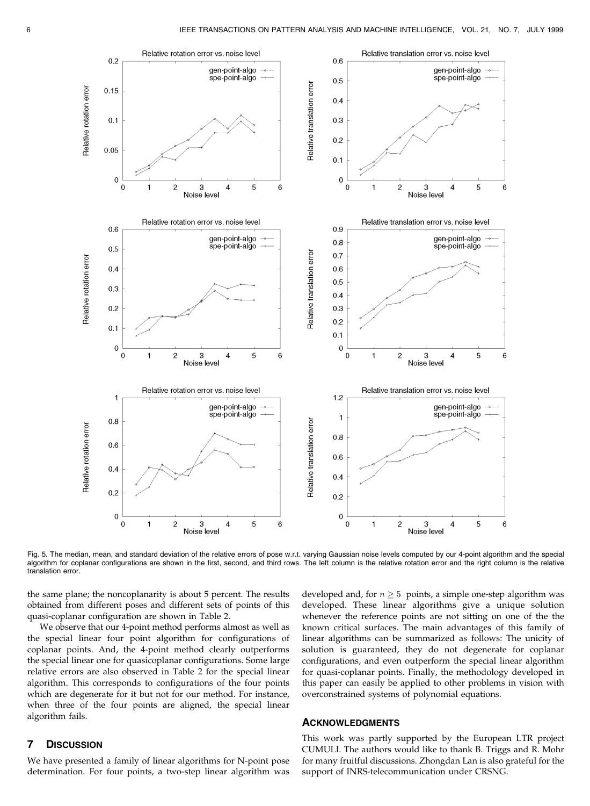

Fig. 5. The median, mean, and standard deviation of the relative errors of pose w.r.t. varying Gaussian noise levels computed by our 4-point algorithm and the special algorithm for coplanar configurations are shown in the first, second, and third rows. The left column is the relative rotation error and the right column is the relative translation error.

the same plane; the noncoplanarity is about 5 percent. The results obtained from different poses and different sets of points of this quasi-coplanar configuration are shown in Table 2.

We observe that our 4-point method performs almost as well as the special linear four point algorithm for configurations of coplanar points. And, the 4-point method clearly outperforms the special linear one for quasicoplanar configurations. Some large relative errors are also observed in Table 2 for the special linear algorithm. This corresponds to configurations of the four points which are degenerate for it but not for our method. For instance, when three of the four points are aligned, the special linear algorithm fails.

## developed and, for  $n \geq 5$  points, a simple one-step algorithm was developed. These linear algorithms give a unique solution whenever the reference points are not sitting on one of the the known critical surfaces. The main advantages of this family of linear algorithms can be summarized as follows: The unicity of solution is guaranteed, they do not degenerate for coplanar configurations, and even outperform the special linear algorithm for quasi-coplanar points. Finally, the methodology developed in this paper can easily be applied to other problems in vision with overconstrained systems of polynomial equations.

#### **ACKNOWLEDGMENTS**

# 7 DISCUSSION

We have presented a family of linear algorithms for N-point pose determination. For four points, a two-step linear algorithm was

This work was partly supported by the European LTR project CUMULI. The authors would like to thank B. Triggs and R. Mohr for many fruitful discussions. Zhongdan Lan is also grateful for the support of INRS-telecommunication under CRSNG.